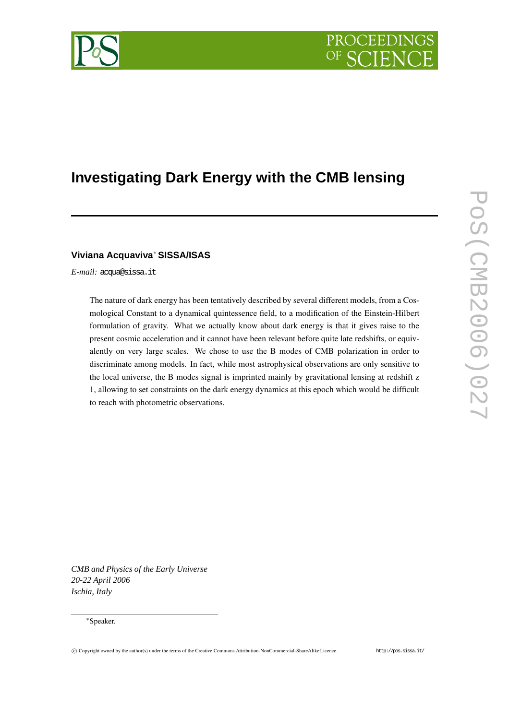# PROCEEDIN

## **Investigating Dark Energy with the CMB lensing**

### **Viviana Acquaviva** <sup>∗</sup>**SISSA/ISAS**

*E-mail:* acqua@sissa.it

The nature of dark energy has been tentatively described by several different models, from a Cosmological Constant to a dynamical quintessence field, to a modification of the Einstein-Hilbert formulation of gravity. What we actually know about dark energy is that it gives raise to the present cosmic acceleration and it cannot have been relevant before quite late redshifts, or equivalently on very large scales. We chose to use the B modes of CMB polarization in order to discriminate among models. In fact, while most astrophysical observations are only sensitive to the local universe, the B modes signal is imprinted mainly by gravitational lensing at redshift z 1, allowing to set constraints on the dark energy dynamics at this epoch which would be difficult to reach with photometric observations.

*CMB and Physics of the Early Universe 20-22 April 2006 Ischia, Italy*

#### <sup>∗</sup>Speaker.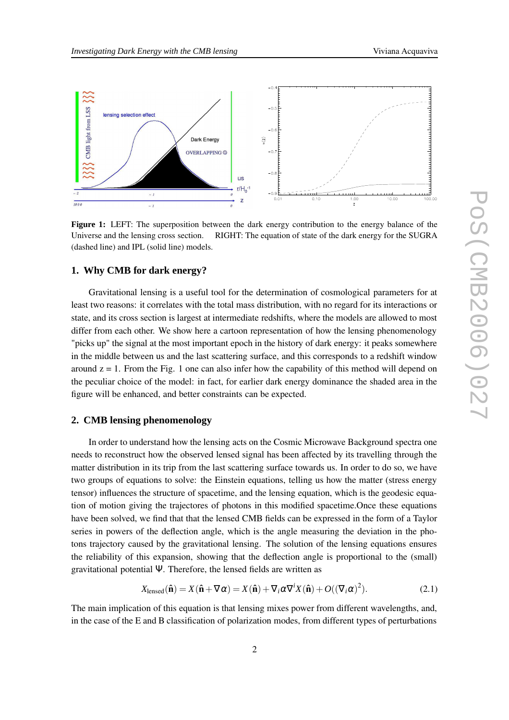

**Figure 1:** LEFT: The superposition between the dark energy contribution to the energy balance of the Universe and the lensing cross section. RIGHT: The equation of state of the dark energy for the SUGRA (dashed line) and IPL (solid line) models.

#### **1. Why CMB for dark energy?**

Gravitational lensing is a useful tool for the determination of cosmological parameters for at least two reasons: it correlates with the total mass distribution, with no regard for its interactions or state, and its cross section is largest at intermediate redshifts, where the models are allowed to most differ from each other. We show here a cartoon representation of how the lensing phenomenology "picks up" the signal at the most important epoch in the history of dark energy: it peaks somewhere in the middle between us and the last scattering surface, and this corresponds to a redshift window around  $z = 1$ . From the Fig. 1 one can also infer how the capability of this method will depend on the peculiar choice of the model: in fact, for earlier dark energy dominance the shaded area in the figure will be enhanced, and better constraints can be expected.

#### **2. CMB lensing phenomenology**

In order to understand how the lensing acts on the Cosmic Microwave Background spectra one needs to reconstruct how the observed lensed signal has been affected by its travelling through the matter distribution in its trip from the last scattering surface towards us. In order to do so, we have two groups of equations to solve: the Einstein equations, telling us how the matter (stress energy tensor) influences the structure of spacetime, and the lensing equation, which is the geodesic equation of motion giving the trajectores of photons in this modified spacetime.Once these equations have been solved, we find that that the lensed CMB fields can be expressed in the form of a Taylor series in powers of the deflection angle, which is the angle measuring the deviation in the photons trajectory caused by the gravitational lensing. The solution of the lensing equations ensures the reliability of this expansion, showing that the deflection angle is proportional to the (small) gravitational potential Ψ. Therefore, the lensed fields are written as

$$
X_{\text{lensed}}(\hat{\mathbf{n}}) = X(\hat{\mathbf{n}} + \nabla \alpha) = X(\hat{\mathbf{n}}) + \nabla_i \alpha \nabla^i X(\hat{\mathbf{n}}) + O((\nabla_i \alpha)^2). \tag{2.1}
$$

The main implication of this equation is that lensing mixes power from different wavelengths, and, in the case of the E and B classification of polarization modes, from different types of perturbations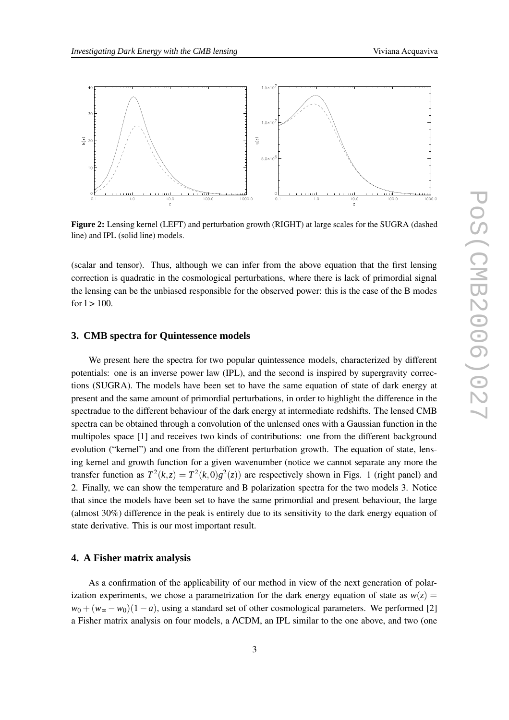

**Figure 2:** Lensing kernel (LEFT) and perturbation growth (RIGHT) at large scales for the SUGRA (dashed line) and IPL (solid line) models.

(scalar and tensor). Thus, although we can infer from the above equation that the first lensing correction is quadratic in the cosmological perturbations, where there is lack of primordial signal the lensing can be the unbiased responsible for the observed power: this is the case of the B modes for  $1 > 100$ .

#### **3. CMB spectra for Quintessence models**

We present here the spectra for two popular quintessence models, characterized by different potentials: one is an inverse power law (IPL), and the second is inspired by supergravity corrections (SUGRA). The models have been set to have the same equation of state of dark energy at present and the same amount of primordial perturbations, in order to highlight the difference in the spectradue to the different behaviour of the dark energy at intermediate redshifts. The lensed CMB spectra can be obtained through a convolution of the unlensed ones with a Gaussian function in the multipoles space [1] and receives two kinds of contributions: one from the different background evolution ("kernel") and one from the different perturbation growth. The equation of state, lensing kernel and growth function for a given wavenumber (notice we cannot separate any more the transfer function as  $T^2(k, z) = T^2(k, 0)g^2(z)$  are respectively shown in Figs. 1 (right panel) and 2. Finally, we can show the temperature and B polarization spectra for the two models 3. Notice that since the models have been set to have the same primordial and present behaviour, the large (almost 30%) difference in the peak is entirely due to its sensitivity to the dark energy equation of state derivative. This is our most important result.

#### **4. A Fisher matrix analysis**

As a confirmation of the applicability of our method in view of the next generation of polarization experiments, we chose a parametrization for the dark energy equation of state as  $w(z)$  =  $w_0 + (w_\infty - w_0)(1 - a)$ , using a standard set of other cosmological parameters. We performed [2] a Fisher matrix analysis on four models, a ΛCDM, an IPL similar to the one above, and two (one